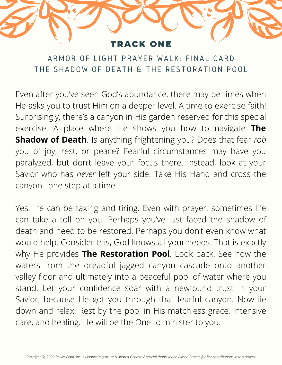## RACK ONE

ARMOR OF LIGHT PRAYER WALK: FINAL CARD THE SHADOW OF DEATH & THE RESTORATION POOL

Even after you've seen God's abundance, there may be times when He asks you to trust Him on a deeper level. A time to exercise faith! Surprisingly, there's a canyon in His garden reserved for this special exercise. A place where He shows you how to navigate **The Shadow of Death**. Is anything frightening you? Does that fear *rob* you of joy, rest, or peace? Fearful circumstances may have you paralyzed, but don't leave your focus there. Instead, look at your Savior who has *never* left your side. Take His Hand and cross the canyon…one step at a time.

Yes, life can be taxing and tiring. Even with prayer, sometimes life can take a toll on you. Perhaps you've just faced the shadow of death and need to be restored. Perhaps you don't even know what would help. Consider this, God knows all your needs. That is exactly why He provides **The Restoration Pool**. Look back. See how the waters from the dreadful jagged canyon cascade onto another valley floor and ultimately into a peaceful pool of water where you stand. Let your confidence soar with a newfound trust in your Savior, because He got you through that fearful canyon. Now lie down and relax. Rest by the pool in His matchless grace, intensive care, and healing. He will be the One to minister to you.